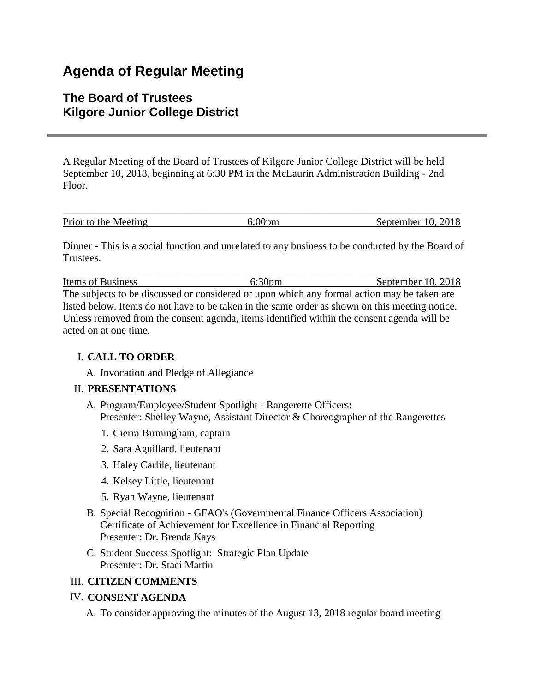# **Agenda of Regular Meeting**

# **The Board of Trustees Kilgore Junior College District**

A Regular Meeting of the Board of Trustees of Kilgore Junior College District will be held September 10, 2018, beginning at 6:30 PM in the McLaurin Administration Building - 2nd Floor.

| Prior to the Meeting | September 10, 2018 |
|----------------------|--------------------|

Dinner - This is a social function and unrelated to any business to be conducted by the Board of Trustees.

\_\_\_\_\_\_\_\_\_\_\_\_\_\_\_\_\_\_\_\_\_\_\_\_\_\_\_\_\_\_\_\_\_\_\_\_\_\_\_\_\_\_\_\_\_\_\_\_\_\_\_\_\_\_\_\_\_\_\_\_\_\_\_\_\_\_\_\_\_\_\_\_\_\_\_\_

Items of Business 6:30pm September 10, 2018 The subjects to be discussed or considered or upon which any formal action may be taken are listed below. Items do not have to be taken in the same order as shown on this meeting notice. Unless removed from the consent agenda, items identified within the consent agenda will be acted on at one time.

# I. **CALL TO ORDER**

A. Invocation and Pledge of Allegiance

# II. **PRESENTATIONS**

- A. Program/Employee/Student Spotlight Rangerette Officers: Presenter: Shelley Wayne, Assistant Director & Choreographer of the Rangerettes
	- 1. Cierra Birmingham, captain
	- 2. Sara Aguillard, lieutenant
	- 3. Haley Carlile, lieutenant
	- 4. Kelsey Little, lieutenant
	- 5. Ryan Wayne, lieutenant
- B. Special Recognition GFAO's (Governmental Finance Officers Association) Certificate of Achievement for Excellence in Financial Reporting Presenter: Dr. Brenda Kays
- C. Student Success Spotlight: Strategic Plan Update Presenter: Dr. Staci Martin

# III. **CITIZEN COMMENTS**

# IV. **CONSENT AGENDA**

A. To consider approving the minutes of the August 13, 2018 regular board meeting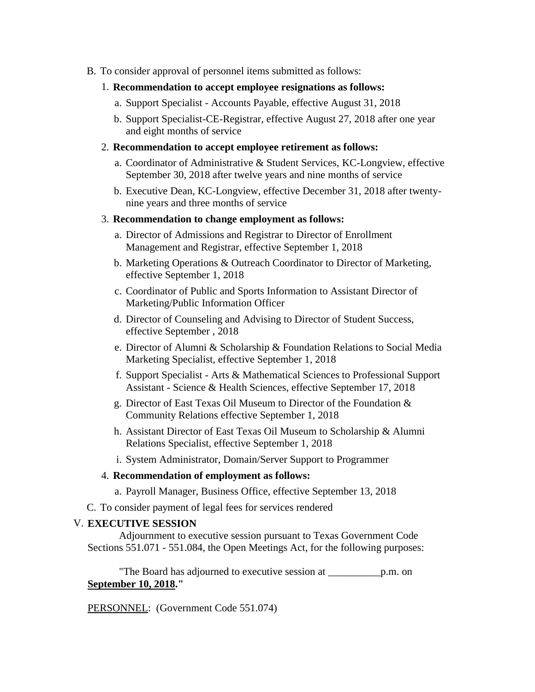- B. To consider approval of personnel items submitted as follows:
	- 1. **Recommendation to accept employee resignations as follows:**
		- a. Support Specialist Accounts Payable, effective August 31, 2018
		- b. Support Specialist-CE-Registrar, effective August 27, 2018 after one year and eight months of service
	- 2. **Recommendation to accept employee retirement as follows:**
		- a. Coordinator of Administrative & Student Services, KC-Longview, effective September 30, 2018 after twelve years and nine months of service
		- b. Executive Dean, KC-Longview, effective December 31, 2018 after twentynine years and three months of service
	- 3. **Recommendation to change employment as follows:**
		- a. Director of Admissions and Registrar to Director of Enrollment Management and Registrar, effective September 1, 2018
		- b. Marketing Operations & Outreach Coordinator to Director of Marketing, effective September 1, 2018
		- c. Coordinator of Public and Sports Information to Assistant Director of Marketing/Public Information Officer
		- d. Director of Counseling and Advising to Director of Student Success, effective September , 2018
		- e. Director of Alumni & Scholarship & Foundation Relations to Social Media Marketing Specialist, effective September 1, 2018
		- f. Support Specialist Arts & Mathematical Sciences to Professional Support Assistant - Science & Health Sciences, effective September 17, 2018
		- g. Director of East Texas Oil Museum to Director of the Foundation & Community Relations effective September 1, 2018
		- h. Assistant Director of East Texas Oil Museum to Scholarship & Alumni Relations Specialist, effective September 1, 2018
		- i. System Administrator, Domain/Server Support to Programmer

#### 4. **Recommendation of employment as follows:**

- a. Payroll Manager, Business Office, effective September 13, 2018
- C. To consider payment of legal fees for services rendered

#### V. **EXECUTIVE SESSION**

 Adjournment to executive session pursuant to Texas Government Code Sections 551.071 - 551.084, the Open Meetings Act, for the following purposes:

 "The Board has adjourned to executive session at \_\_\_\_\_\_\_\_\_\_p.m. on **September 10, 2018."**

PERSONNEL: (Government Code 551.074)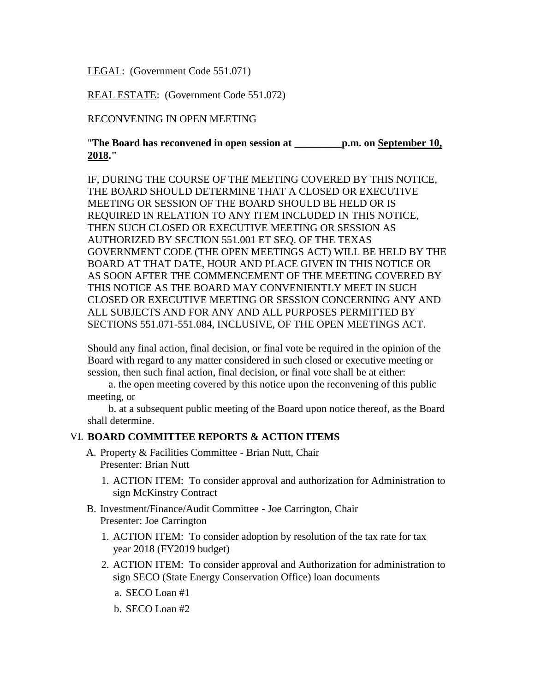LEGAL: (Government Code 551.071)

REAL ESTATE: (Government Code 551.072)

RECONVENING IN OPEN MEETING

"**The Board has reconvened in open session at \_\_\_\_\_\_\_\_\_p.m. on September 10, 2018."**

IF, DURING THE COURSE OF THE MEETING COVERED BY THIS NOTICE, THE BOARD SHOULD DETERMINE THAT A CLOSED OR EXECUTIVE MEETING OR SESSION OF THE BOARD SHOULD BE HELD OR IS REQUIRED IN RELATION TO ANY ITEM INCLUDED IN THIS NOTICE, THEN SUCH CLOSED OR EXECUTIVE MEETING OR SESSION AS AUTHORIZED BY SECTION 551.001 ET SEQ. OF THE TEXAS GOVERNMENT CODE (THE OPEN MEETINGS ACT) WILL BE HELD BY THE BOARD AT THAT DATE, HOUR AND PLACE GIVEN IN THIS NOTICE OR AS SOON AFTER THE COMMENCEMENT OF THE MEETING COVERED BY THIS NOTICE AS THE BOARD MAY CONVENIENTLY MEET IN SUCH CLOSED OR EXECUTIVE MEETING OR SESSION CONCERNING ANY AND ALL SUBJECTS AND FOR ANY AND ALL PURPOSES PERMITTED BY SECTIONS 551.071-551.084, INCLUSIVE, OF THE OPEN MEETINGS ACT.

Should any final action, final decision, or final vote be required in the opinion of the Board with regard to any matter considered in such closed or executive meeting or session, then such final action, final decision, or final vote shall be at either:

 a. the open meeting covered by this notice upon the reconvening of this public meeting, or

 b. at a subsequent public meeting of the Board upon notice thereof, as the Board shall determine.

#### VI. **BOARD COMMITTEE REPORTS & ACTION ITEMS**

- A. Property & Facilities Committee Brian Nutt, Chair Presenter: Brian Nutt
	- 1. ACTION ITEM: To consider approval and authorization for Administration to sign McKinstry Contract
- B. Investment/Finance/Audit Committee Joe Carrington, Chair Presenter: Joe Carrington
	- 1. ACTION ITEM: To consider adoption by resolution of the tax rate for tax year 2018 (FY2019 budget)
	- 2. ACTION ITEM: To consider approval and Authorization for administration to sign SECO (State Energy Conservation Office) loan documents
		- a. SECO Loan #1
		- b. SECO Loan #2